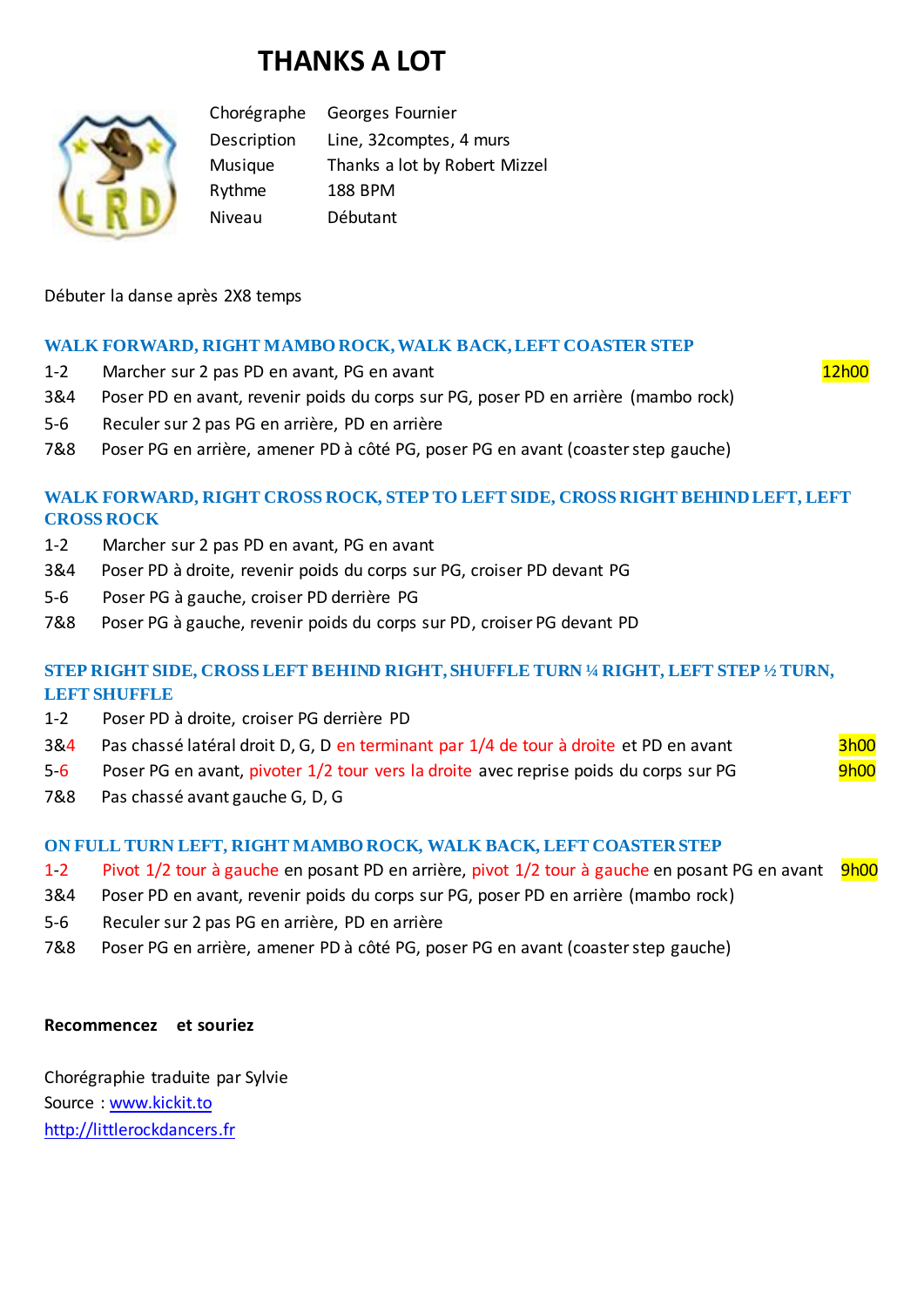# **THANKS A LOT**



Chorégraphe Georges Fournier Description Line, 32comptes, 4 murs Musique Thanks a lot by Robert Mizzel Rythme 188 BPM Niveau Débutant

Débuter la danse après 2X8 temps

## **WALK FORWARD, RIGHT MAMBO ROCK, WALK BACK, LEFT COASTER STEP**

- 1-2 Marcher sur 2 pas PD en avant, PG en avant
- 3&4 Poser PD en avant, revenir poids du corps sur PG, poser PD en arrière (mambo rock)
- 5-6 Reculer sur 2 pas PG en arrière, PD en arrière
- 7&8 Poser PG en arrière, amener PD à côté PG, poser PG en avant (coaster step gauche)

#### **WALK FORWARD, RIGHT CROSS ROCK, STEP TO LEFT SIDE, CROSS RIGHT BEHIND LEFT, LEFT CROSS ROCK**

- 1-2 Marcher sur 2 pas PD en avant, PG en avant
- 3&4 Poser PD à droite, revenir poids du corps sur PG, croiser PD devant PG
- 5-6 Poser PG à gauche, croiser PD derrière PG
- 7&8 Poser PG à gauche, revenir poids du corps sur PD, croiser PG devant PD

## **STEP RIGHT SIDE, CROSS LEFT BEHIND RIGHT, SHUFFLE TURN ¼ RIGHT, LEFT STEP ½ TURN, LEFT SHUFFLE**

- 1-2 Poser PD à droite, croiser PG derrière PD
- 3&4 Pas chassé latéral droit D, G, D en terminant par 1/4 de tour à droite et PD en avant 3h00
- 5-6 Poser PG en avant, pivoter 1/2 tour vers la droite avec reprise poids du corps sur PG 9h00
- 7&8 Pas chassé avant gauche G, D, G

#### **ON FULL TURN LEFT, RIGHT MAMBO ROCK, WALK BACK, LEFT COASTER STEP**

- 1-2 Pivot 1/2 tour à gauche en posant PD en arrière, pivot 1/2 tour à gauche en posant PG en avant 9h00
- 3&4 Poser PD en avant, revenir poids du corps sur PG, poser PD en arrière (mambo rock)
- 5-6 Reculer sur 2 pas PG en arrière, PD en arrière
- 7&8 Poser PG en arrière, amener PD à côté PG, poser PG en avant (coaster step gauche)

#### **Recommencez et souriez**

Chorégraphie traduite par Sylvie Source : [www.kickit.to](http://www.kickit.to/) [http://littlerockdancers.fr](http://littlerockdancers.fr/)